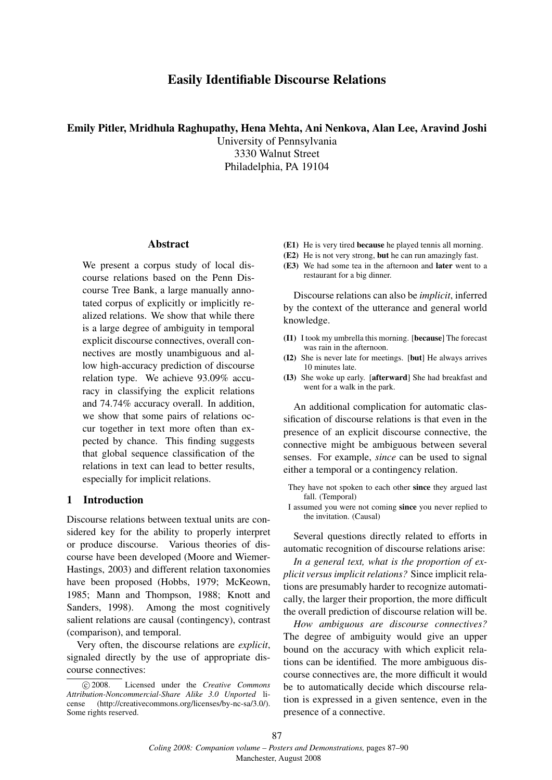# Easily Identifiable Discourse Relations

#### Emily Pitler, Mridhula Raghupathy, Hena Mehta, Ani Nenkova, Alan Lee, Aravind Joshi

University of Pennsylvania 3330 Walnut Street Philadelphia, PA 19104

#### Abstract

We present a corpus study of local discourse relations based on the Penn Discourse Tree Bank, a large manually annotated corpus of explicitly or implicitly realized relations. We show that while there is a large degree of ambiguity in temporal explicit discourse connectives, overall connectives are mostly unambiguous and allow high-accuracy prediction of discourse relation type. We achieve 93.09% accuracy in classifying the explicit relations and 74.74% accuracy overall. In addition, we show that some pairs of relations occur together in text more often than expected by chance. This finding suggests that global sequence classification of the relations in text can lead to better results, especially for implicit relations.

### 1 Introduction

Discourse relations between textual units are considered key for the ability to properly interpret or produce discourse. Various theories of discourse have been developed (Moore and Wiemer-Hastings, 2003) and different relation taxonomies have been proposed (Hobbs, 1979; McKeown, 1985; Mann and Thompson, 1988; Knott and Sanders, 1998). Among the most cognitively salient relations are causal (contingency), contrast (comparison), and temporal.

Very often, the discourse relations are *explicit*, signaled directly by the use of appropriate discourse connectives:

- (E1) He is very tired because he played tennis all morning.
- (E2) He is not very strong, but he can run amazingly fast.
- (E3) We had some tea in the afternoon and later went to a restaurant for a big dinner.

Discourse relations can also be *implicit*, inferred by the context of the utterance and general world knowledge.

- (I1) I took my umbrella this morning. [because] The forecast was rain in the afternoon.
- (I2) She is never late for meetings. [but] He always arrives 10 minutes late.
- (I3) She woke up early. [afterward] She had breakfast and went for a walk in the park.

An additional complication for automatic classification of discourse relations is that even in the presence of an explicit discourse connective, the connective might be ambiguous between several senses. For example, *since* can be used to signal either a temporal or a contingency relation.

- They have not spoken to each other since they argued last fall. (Temporal)
- I assumed you were not coming since you never replied to the invitation. (Causal)

Several questions directly related to efforts in automatic recognition of discourse relations arise:

*In a general text, what is the proportion of explicit versus implicit relations?* Since implicit relations are presumably harder to recognize automatically, the larger their proportion, the more difficult the overall prediction of discourse relation will be.

*How ambiguous are discourse connectives?* The degree of ambiguity would give an upper bound on the accuracy with which explicit relations can be identified. The more ambiguous discourse connectives are, the more difficult it would be to automatically decide which discourse relation is expressed in a given sentence, even in the presence of a connective.

c 2008. Licensed under the *Creative Commons Attribution-Noncommercial-Share Alike 3.0 Unported* license (http://creativecommons.org/licenses/by-nc-sa/3.0/). Some rights reserved.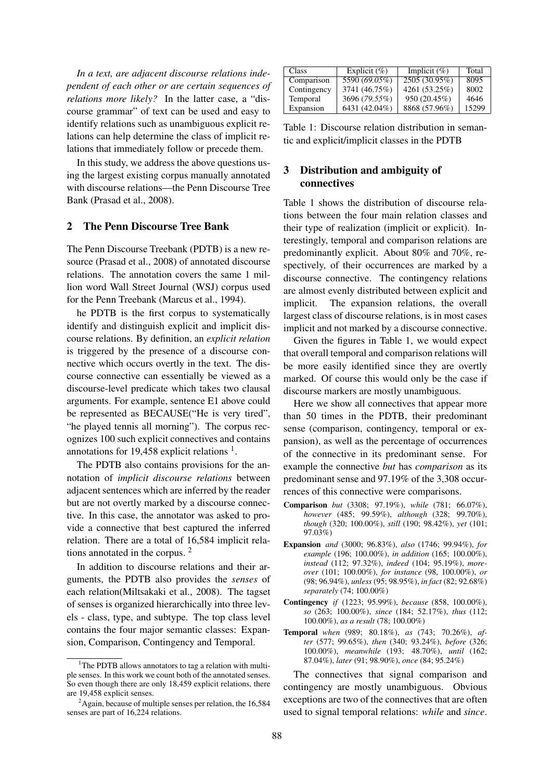*In a text, are adjacent discourse relations independent of each other or are certain sequences of relations more likely?* In the latter case, a "discourse grammar" of text can be used and easy to identify relations such as unambiguous explicit relations can help determine the class of implicit relations that immediately follow or precede them.

In this study, we address the above questions using the largest existing corpus manually annotated with discourse relations—the Penn Discourse Tree Bank (Prasad et al., 2008).

### 2 The Penn Discourse Tree Bank

The Penn Discourse Treebank (PDTB) is a new resource (Prasad et al., 2008) of annotated discourse relations. The annotation covers the same 1 million word Wall Street Journal (WSJ) corpus used for the Penn Treebank (Marcus et al., 1994).

he PDTB is the first corpus to systematically identify and distinguish explicit and implicit discourse relations. By definition, an *explicit relation* is triggered by the presence of a discourse connective which occurs overtly in the text. The discourse connective can essentially be viewed as a discourse-level predicate which takes two clausal arguments. For example, sentence E1 above could be represented as BECAUSE("He is very tired", "he played tennis all morning"). The corpus recognizes 100 such explicit connectives and contains annotations for 19,458 explicit relations  $<sup>1</sup>$ .</sup>

The PDTB also contains provisions for the annotation of *implicit discourse relations* between adjacent sentences which are inferred by the reader but are not overtly marked by a discourse connective. In this case, the annotator was asked to provide a connective that best captured the inferred relation. There are a total of 16,584 implicit relations annotated in the corpus. <sup>2</sup>

In addition to discourse relations and their arguments, the PDTB also provides the *senses* of each relation(Miltsakaki et al., 2008). The tagset of senses is organized hierarchically into three levels - class, type, and subtype. The top class level contains the four major semantic classes: Expansion, Comparison, Contingency and Temporal.

| Class       | Explicit $(\%)$ | Implicit $(\%)$ | Total |
|-------------|-----------------|-----------------|-------|
| Comparison  | 5590 (69.05%)   | 2505 (30.95%)   | 8095  |
| Contingency | 3741 (46.75%)   | 4261 (53.25%)   | 8002  |
| Temporal    | 3696 (79.55%)   | 950 (20.45%)    | 4646  |
| Expansion   | 6431 (42.04%)   | 8868 (57.96%)   | 15299 |

Table 1: Discourse relation distribution in semantic and explicit/implicit classes in the PDTB

## 3 Distribution and ambiguity of connectives

Table 1 shows the distribution of discourse relations between the four main relation classes and their type of realization (implicit or explicit). Interestingly, temporal and comparison relations are predominantly explicit. About 80% and 70%, respectively, of their occurrences are marked by a discourse connective. The contingency relations are almost evenly distributed between explicit and implicit. The expansion relations, the overall largest class of discourse relations, is in most cases implicit and not marked by a discourse connective.

Given the figures in Table 1, we would expect that overall temporal and comparison relations will be more easily identified since they are overtly marked. Of course this would only be the case if discourse markers are mostly unambiguous.

Here we show all connectives that appear more than 50 times in the PDTB, their predominant sense (comparison, contingency, temporal or expansion), as well as the percentage of occurrences of the connective in its predominant sense. For example the connective *but* has *comparison* as its predominant sense and 97.19% of the 3,308 occurrences of this connective were comparisons.

- Comparison *but* (3308; 97.19%), *while* (781; 66.07%), *however* (485; 99.59%), *although* (328; 99.70%), *though* (320; 100.00%), *still* (190; 98.42%), *yet* (101; 97.03%)
- Expansion *and* (3000; 96.83%), *also* (1746; 99.94%), *for example* (196; 100.00%), *in addition* (165; 100.00%), *instead* (112; 97.32%), *indeed* (104; 95.19%), *moreover* (101; 100.00%), *for instance* (98, 100.00%), *or* (98; 96.94%), *unless* (95; 98.95%), *in fact* (82; 92.68%) *separately* (74; 100.00%)
- Contingency *if* (1223; 95.99%), *because* (858, 100.00%), *so* (263; 100.00%), *since* (184; 52.17%), *thus* (112; 100.00%), *as a result* (78; 100.00%)
- Temporal *when* (989; 80.18%), *as* (743; 70.26%), *after* (577; 99.65%), *then* (340; 93.24%), *before* (326; 100.00%), *meanwhile* (193; 48.70%), *until* (162; 87.04%), *later* (91; 98.90%), *once* (84; 95.24%)

The connectives that signal comparison and contingency are mostly unambiguous. Obvious exceptions are two of the connectives that are often used to signal temporal relations: *while* and *since*.

 $1$ <sup>1</sup>The PDTB allows annotators to tag a relation with multiple senses. In this work we count both of the annotated senses. So even though there are only 18,459 explicit relations, there are 19,458 explicit senses.

 ${}^{2}$ Again, because of multiple senses per relation, the 16,584 senses are part of 16,224 relations.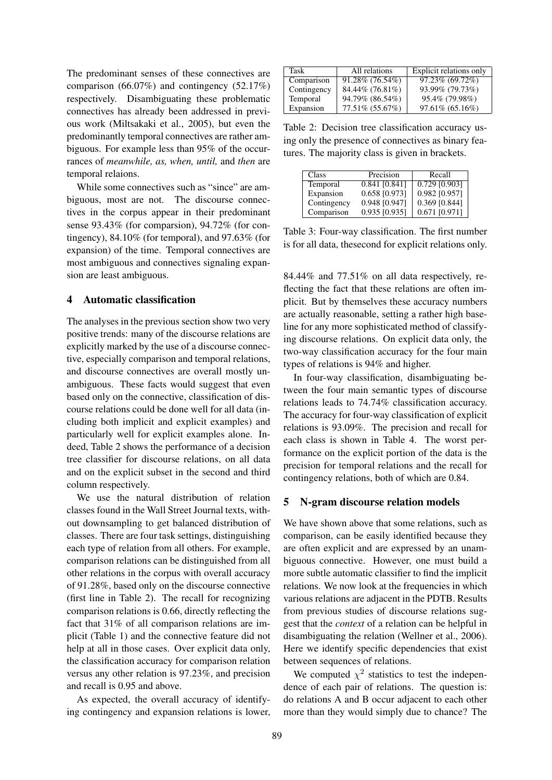The predominant senses of these connectives are comparison (66.07%) and contingency (52.17%) respectively. Disambiguating these problematic connectives has already been addressed in previous work (Miltsakaki et al., 2005), but even the predominantly temporal connectives are rather ambiguous. For example less than 95% of the occurrances of *meanwhile, as, when, until,* and *then* are temporal relaions.

While some connectives such as "since" are ambiguous, most are not. The discourse connectives in the corpus appear in their predominant sense 93.43% (for comparsion), 94.72% (for contingency), 84.10% (for temporal), and 97.63% (for expansion) of the time. Temporal connectives are most ambiguous and connectives signaling expansion are least ambiguous.

### 4 Automatic classification

The analyses in the previous section show two very positive trends: many of the discourse relations are explicitly marked by the use of a discourse connective, especially comparison and temporal relations, and discourse connectives are overall mostly unambiguous. These facts would suggest that even based only on the connective, classification of discourse relations could be done well for all data (including both implicit and explicit examples) and particularly well for explicit examples alone. Indeed, Table 2 shows the performance of a decision tree classifier for discourse relations, on all data and on the explicit subset in the second and third column respectively.

We use the natural distribution of relation classes found in the Wall Street Journal texts, without downsampling to get balanced distribution of classes. There are four task settings, distinguishing each type of relation from all others. For example, comparison relations can be distinguished from all other relations in the corpus with overall accuracy of 91.28%, based only on the discourse connective (first line in Table 2). The recall for recognizing comparison relations is 0.66, directly reflecting the fact that 31% of all comparison relations are implicit (Table 1) and the connective feature did not help at all in those cases. Over explicit data only, the classification accuracy for comparison relation versus any other relation is 97.23%, and precision and recall is 0.95 and above.

As expected, the overall accuracy of identifying contingency and expansion relations is lower,

| Task        | All relations      | Explicit relations only |
|-------------|--------------------|-------------------------|
| Comparison  | $91.28\%$ (76.54%) | $97.23\%$ (69.72%)      |
| Contingency | 84.44% (76.81%)    | 93.99% (79.73%)         |
| Temporal    | 94.79% (86.54%)    | 95.4% (79.98%)          |
| Expansion   | 77.51% (55.67%)    | $97.61\%$ (65.16%)      |

Table 2: Decision tree classification accuracy using only the presence of connectives as binary features. The majority class is given in brackets.

| Class       | Precision       | Recall          |
|-------------|-----------------|-----------------|
| Temporal    | $0.841$ [0.841] | $0.729$ [0.903] |
| Expansion   | 0.658 [0.973]   | 0.982 [0.957]   |
| Contingency | 0.948 [0.947]   | $0.369$ [0.844] |
| Comparison  | $0.935$ [0.935] | $0.671$ [0.971] |

Table 3: Four-way classification. The first number is for all data, thesecond for explicit relations only.

84.44% and 77.51% on all data respectively, reflecting the fact that these relations are often implicit. But by themselves these accuracy numbers are actually reasonable, setting a rather high baseline for any more sophisticated method of classifying discourse relations. On explicit data only, the two-way classification accuracy for the four main types of relations is 94% and higher.

In four-way classification, disambiguating between the four main semantic types of discourse relations leads to 74.74% classification accuracy. The accuracy for four-way classification of explicit relations is 93.09%. The precision and recall for each class is shown in Table 4. The worst performance on the explicit portion of the data is the precision for temporal relations and the recall for contingency relations, both of which are 0.84.

### 5 N-gram discourse relation models

We have shown above that some relations, such as comparison, can be easily identified because they are often explicit and are expressed by an unambiguous connective. However, one must build a more subtle automatic classifier to find the implicit relations. We now look at the frequencies in which various relations are adjacent in the PDTB. Results from previous studies of discourse relations suggest that the *context* of a relation can be helpful in disambiguating the relation (Wellner et al., 2006). Here we identify specific dependencies that exist between sequences of relations.

We computed  $\chi^2$  statistics to test the independence of each pair of relations. The question is: do relations A and B occur adjacent to each other more than they would simply due to chance? The